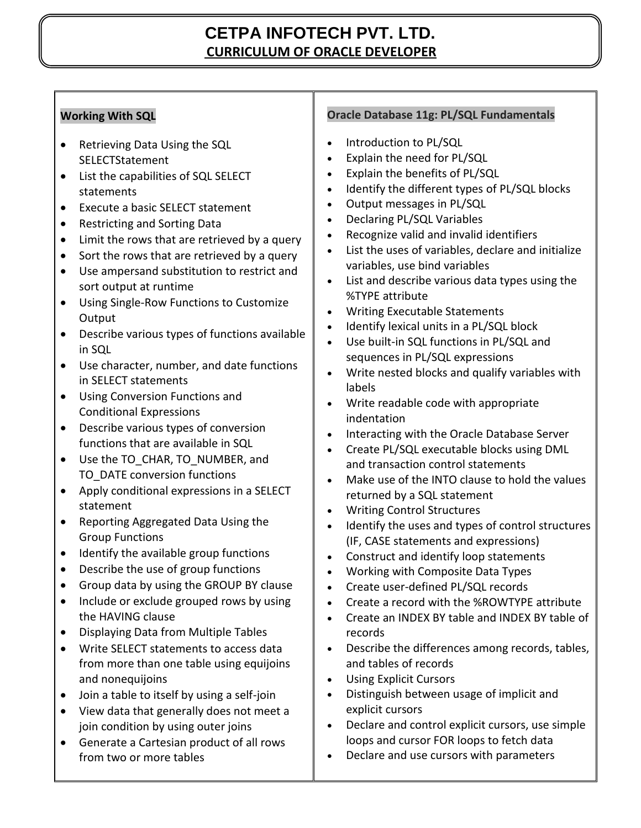# **CETPA INFOTECH PVT. LTD. CURRICULUM OF ORACLE DEVELOPER**

## **Working With SQL**

- Retrieving Data Using the SQL SELECTStatement
- List the capabilities of SQL SELECT statements
- Execute a basic SELECT statement
- Restricting and Sorting Data
- Limit the rows that are retrieved by a query
- Sort the rows that are retrieved by a query
- Use ampersand substitution to restrict and sort output at runtime
- Using Single-Row Functions to Customize **Output**
- Describe various types of functions available in SQL
- Use character, number, and date functions in SELECT statements
- Using Conversion Functions and Conditional Expressions
- Describe various types of conversion functions that are available in SQL
- Use the TO\_CHAR, TO\_NUMBER, and TO\_DATE conversion functions
- Apply conditional expressions in a SELECT statement
- Reporting Aggregated Data Using the Group Functions
- Identify the available group functions
- Describe the use of group functions
- Group data by using the GROUP BY clause
- Include or exclude grouped rows by using the HAVING clause
- Displaying Data from Multiple Tables
- Write SELECT statements to access data from more than one table using equijoins and nonequijoins
- Join a table to itself by using a self-join
- View data that generally does not meet a join condition by using outer joins
- Generate a Cartesian product of all rows from two or more tables

### **Oracle Database 11g: PL/SQL Fundamentals**

- Introduction to PL/SQL
- Explain the need for PL/SQL
- Explain the benefits of PL/SQL
- Identify the different types of PL/SQL blocks
- Output messages in PL/SQL
- Declaring PL/SQL Variables
- Recognize valid and invalid identifiers
- List the uses of variables, declare and initialize variables, use bind variables
- List and describe various data types using the %TYPE attribute
- Writing Executable Statements
- Identify lexical units in a PL/SQL block
- Use built-in SQL functions in PL/SQL and sequences in PL/SQL expressions
- Write nested blocks and qualify variables with labels
- Write readable code with appropriate indentation
- Interacting with the Oracle Database Server
- Create PL/SQL executable blocks using DML and transaction control statements
- Make use of the INTO clause to hold the values returned by a SQL statement
- Writing Control Structures
- Identify the uses and types of control structures (IF, CASE statements and expressions)
- Construct and identify loop statements
- Working with Composite Data Types
- Create user-defined PL/SQL records
- Create a record with the %ROWTYPE attribute
- Create an INDEX BY table and INDEX BY table of records
- Describe the differences among records, tables, and tables of records
- Using Explicit Cursors
- Distinguish between usage of implicit and explicit cursors
- Declare and control explicit cursors, use simple loops and cursor FOR loops to fetch data
- Declare and use cursors with parameters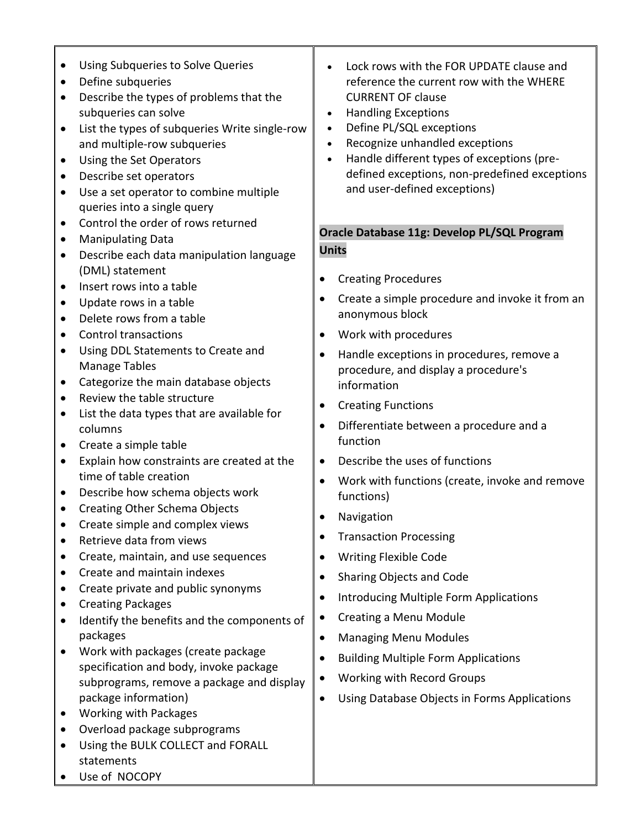- Using Subqueries to Solve Queries
- Define subqueries
- Describe the types of problems that the subqueries can solve
- List the types of subqueries Write single-row and multiple-row subqueries
- Using the Set Operators
- Describe set operators
- Use a set operator to combine multiple queries into a single query
- Control the order of rows returned
- Manipulating Data
- Describe each data manipulation language (DML) statement
- Insert rows into a table
- Update rows in a table
- Delete rows from a table
- Control transactions
- Using DDL Statements to Create and Manage Tables
- Categorize the main database objects
- Review the table structure
- List the data types that are available for columns
- Create a simple table
- Explain how constraints are created at the time of table creation
- Describe how schema objects work
- Creating Other Schema Objects
- Create simple and complex views
- Retrieve data from views
- Create, maintain, and use sequences
- Create and maintain indexes
- Create private and public synonyms
- Creating Packages
- Identify the benefits and the components of packages
- Work with packages (create package specification and body, invoke package subprograms, remove a package and display package information)
- Working with Packages
- Overload package subprograms
- Using the BULK COLLECT and FORALL statements
- Use of NOCOPY
- Lock rows with the FOR UPDATE clause and reference the current row with the WHERE CURRENT OF clause
- Handling Exceptions
- Define PL/SQL exceptions
- Recognize unhandled exceptions
- Handle different types of exceptions (predefined exceptions, non-predefined exceptions and user-defined exceptions)

#### **Oracle Database 11g: Develop PL/SQL Program Units**

- Creating Procedures
- Create a simple procedure and invoke it from an anonymous block
- Work with procedures
- Handle exceptions in procedures, remove a procedure, and display a procedure's information
- Creating Functions
- Differentiate between a procedure and a function
- Describe the uses of functions
- Work with functions (create, invoke and remove functions)
- Navigation
- Transaction Processing
- Writing Flexible Code
- Sharing Objects and Code
- **•** Introducing Multiple Form Applications
- Creating a Menu Module
- Managing Menu Modules
- Building Multiple Form Applications
- Working with Record Groups
- Using Database Objects in Forms Applications